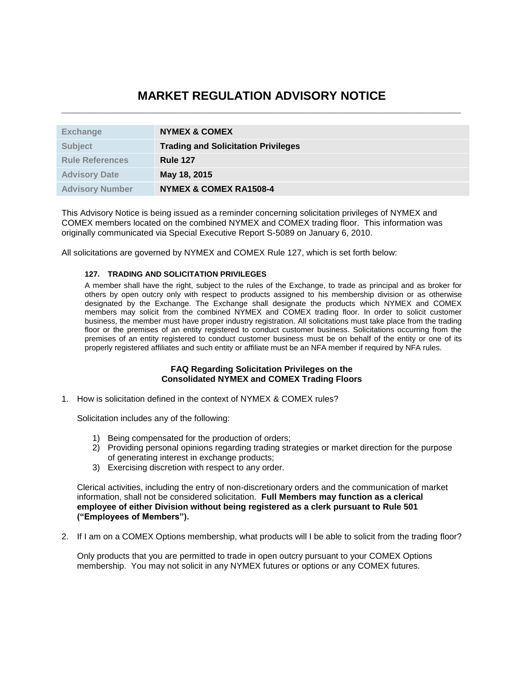## **MARKET REGULATION ADVISORY NOTICE \_\_\_\_\_\_\_\_\_\_\_\_\_\_\_\_\_\_\_\_\_\_\_\_\_\_\_\_\_\_\_\_\_\_\_\_\_\_\_\_\_\_\_\_\_\_\_\_\_\_\_\_\_\_\_\_\_\_\_\_\_\_\_\_\_\_\_\_\_\_**

| <b>Exchange</b>        | <b>NYMEX &amp; COMEX</b>                   |
|------------------------|--------------------------------------------|
| <b>Subject</b>         | <b>Trading and Solicitation Privileges</b> |
| <b>Rule References</b> | <b>Rule 127</b>                            |
| <b>Advisory Date</b>   | May 18, 2015                               |
| <b>Advisory Number</b> | <b>NYMEX &amp; COMEX RA1508-4</b>          |

This Advisory Notice is being issued as a reminder concerning solicitation privileges of NYMEX and COMEX members located on the combined NYMEX and COMEX trading floor. This information was originally communicated via Special Executive Report S-5089 on January 6, 2010.

All solicitations are governed by NYMEX and COMEX Rule 127, which is set forth below:

## **127. TRADING AND SOLICITATION PRIVILEGES**

A member shall have the right, subject to the rules of the Exchange, to trade as principal and as broker for others by open outcry only with respect to products assigned to his membership division or as otherwise designated by the Exchange. The Exchange shall designate the products which NYMEX and COMEX members may solicit from the combined NYMEX and COMEX trading floor. In order to solicit customer business, the member must have proper industry registration. All solicitations must take place from the trading floor or the premises of an entity registered to conduct customer business. Solicitations occurring from the premises of an entity registered to conduct customer business must be on behalf of the entity or one of its properly registered affiliates and such entity or affiliate must be an NFA member if required by NFA rules.

## **FAQ Regarding Solicitation Privileges on the Consolidated NYMEX and COMEX Trading Floors**

1. How is solicitation defined in the context of NYMEX & COMEX rules?

Solicitation includes any of the following:

- 1) Being compensated for the production of orders;
- 2) Providing personal opinions regarding trading strategies or market direction for the purpose of generating interest in exchange products;
- 3) Exercising discretion with respect to any order.

Clerical activities, including the entry of non-discretionary orders and the communication of market information, shall not be considered solicitation. **Full Members may function as a clerical employee of either Division without being registered as a clerk pursuant to Rule 501 ("Employees of Members").**

2. If I am on a COMEX Options membership, what products will I be able to solicit from the trading floor?

Only products that you are permitted to trade in open outcry pursuant to your COMEX Options membership. You may not solicit in any NYMEX futures or options or any COMEX futures.